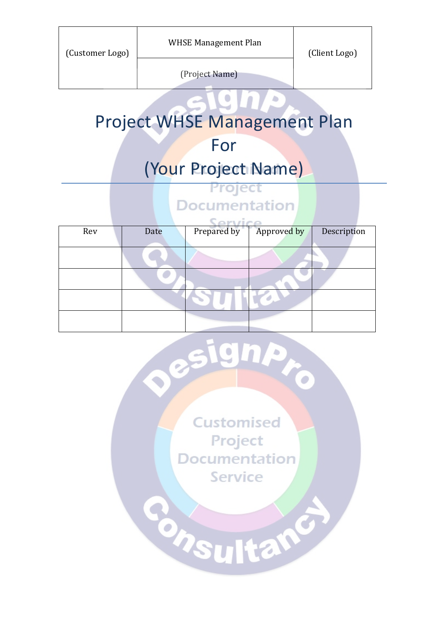(Project Name)

## Project WHSE Management Plan

For

## (Your Project Name)

Project **Documentation** 

| Rev | Date | Prepared by | Approved by | Description |
|-----|------|-------------|-------------|-------------|
|     |      |             |             |             |
|     |      |             |             |             |
|     |      |             |             |             |
|     |      |             |             |             |
|     |      |             |             |             |

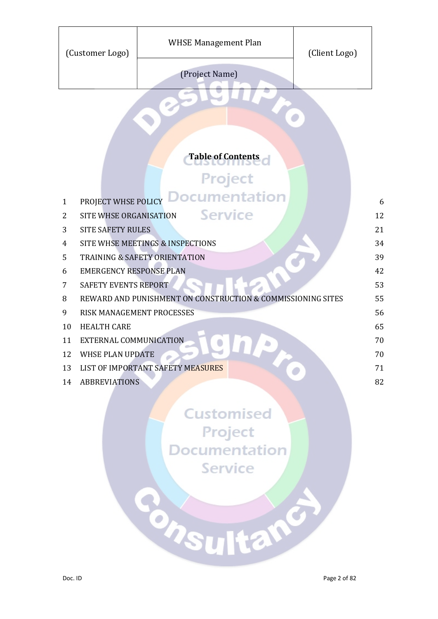| (Customer Logo)          |                                                                               | WHSE Management Plan | (Client Logo) |  |  |  |  |
|--------------------------|-------------------------------------------------------------------------------|----------------------|---------------|--|--|--|--|
|                          |                                                                               | (Project Name)       |               |  |  |  |  |
|                          |                                                                               |                      |               |  |  |  |  |
| <b>Table of Contents</b> |                                                                               |                      |               |  |  |  |  |
| Project                  |                                                                               |                      |               |  |  |  |  |
|                          |                                                                               |                      |               |  |  |  |  |
| $\mathbf{1}$             | <b>Documentation</b><br>PROJECT WHSE POLICY<br>6                              |                      |               |  |  |  |  |
|                          | <b>Service</b><br>12<br>SITE WHSE ORGANISATION<br>2                           |                      |               |  |  |  |  |
| 4                        | 21<br><b>SITE SAFETY RULES</b><br>3                                           |                      |               |  |  |  |  |
| 5                        | SITE WHSE MEETINGS & INSPECTIONS<br>34<br>39<br>TRAINING & SAFETY ORIENTATION |                      |               |  |  |  |  |
| 6                        | <b>EMERGENCY RESPONSE PLAN</b><br>42                                          |                      |               |  |  |  |  |
| 7                        | SAFETY EVENTS REPORT                                                          |                      | 53            |  |  |  |  |
| 8                        | 55<br>REWARD AND PUNISHMENT ON CONSTRUCTION & COMMISSIONING SITES             |                      |               |  |  |  |  |
| 9                        | 56<br>RISK MANAGEMENT PROCESSES                                               |                      |               |  |  |  |  |
| 10                       | 65<br><b>HEALTH CARE</b>                                                      |                      |               |  |  |  |  |
| 11                       | 70<br><b>EXTERNAL COMMUNICATION</b>                                           |                      |               |  |  |  |  |
| 12                       | 70<br><b>WHSE PLAN UPDATE</b>                                                 |                      |               |  |  |  |  |
| 13                       | LIST OF IMPORTANT SAFETY MEASURES<br>71                                       |                      |               |  |  |  |  |
| 14                       | <b>ABBREVIATIONS</b>                                                          |                      | 82            |  |  |  |  |
|                          |                                                                               |                      |               |  |  |  |  |
|                          |                                                                               | <b>Customised</b>    |               |  |  |  |  |
|                          | Project                                                                       |                      |               |  |  |  |  |
|                          | <b>Documentation</b>                                                          |                      |               |  |  |  |  |
|                          |                                                                               |                      |               |  |  |  |  |
| <b>Service</b>           |                                                                               |                      |               |  |  |  |  |
|                          |                                                                               |                      |               |  |  |  |  |
|                          |                                                                               |                      |               |  |  |  |  |
|                          |                                                                               |                      |               |  |  |  |  |
| hsultan                  |                                                                               |                      |               |  |  |  |  |
|                          |                                                                               |                      |               |  |  |  |  |